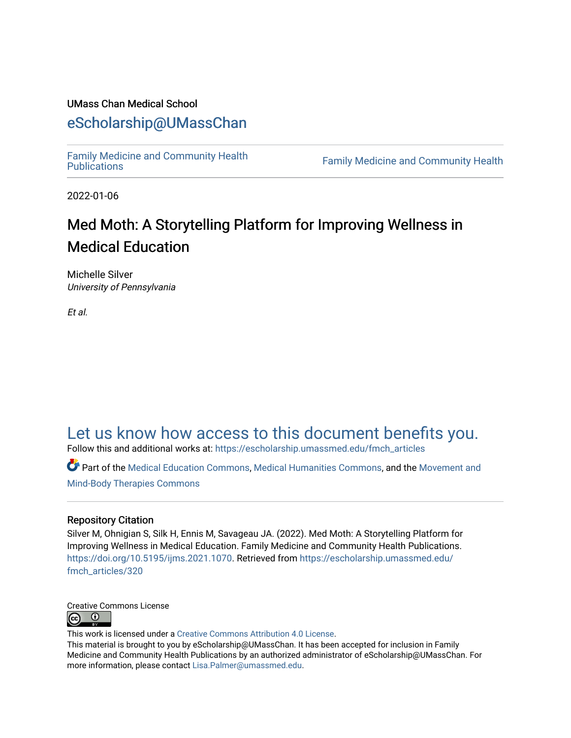### UMass Chan Medical School

### [eScholarship@UMassChan](https://escholarship.umassmed.edu/)

[Family Medicine and Community Health](https://escholarship.umassmed.edu/fmch_articles) 

**Family Medicine and Community Health** 

2022-01-06

## Med Moth: A Storytelling Platform for Improving Wellness in Medical Education

Michelle Silver University of Pennsylvania

Et al.

### [Let us know how access to this document benefits you.](https://arcsapps.umassmed.edu/redcap/surveys/?s=XWRHNF9EJE)

Follow this and additional works at: [https://escholarship.umassmed.edu/fmch\\_articles](https://escholarship.umassmed.edu/fmch_articles?utm_source=escholarship.umassmed.edu%2Ffmch_articles%2F320&utm_medium=PDF&utm_campaign=PDFCoverPages)

Part of the [Medical Education Commons,](http://network.bepress.com/hgg/discipline/1125?utm_source=escholarship.umassmed.edu%2Ffmch_articles%2F320&utm_medium=PDF&utm_campaign=PDFCoverPages) [Medical Humanities Commons](http://network.bepress.com/hgg/discipline/1303?utm_source=escholarship.umassmed.edu%2Ffmch_articles%2F320&utm_medium=PDF&utm_campaign=PDFCoverPages), and the [Movement and](http://network.bepress.com/hgg/discipline/751?utm_source=escholarship.umassmed.edu%2Ffmch_articles%2F320&utm_medium=PDF&utm_campaign=PDFCoverPages)  [Mind-Body Therapies Commons](http://network.bepress.com/hgg/discipline/751?utm_source=escholarship.umassmed.edu%2Ffmch_articles%2F320&utm_medium=PDF&utm_campaign=PDFCoverPages)

#### Repository Citation

Silver M, Ohnigian S, Silk H, Ennis M, Savageau JA. (2022). Med Moth: A Storytelling Platform for Improving Wellness in Medical Education. Family Medicine and Community Health Publications. [https://doi.org/10.5195/ijms.2021.1070.](https://doi.org/10.5195/ijms.2021.1070) Retrieved from [https://escholarship.umassmed.edu/](https://escholarship.umassmed.edu/fmch_articles/320?utm_source=escholarship.umassmed.edu%2Ffmch_articles%2F320&utm_medium=PDF&utm_campaign=PDFCoverPages) [fmch\\_articles/320](https://escholarship.umassmed.edu/fmch_articles/320?utm_source=escholarship.umassmed.edu%2Ffmch_articles%2F320&utm_medium=PDF&utm_campaign=PDFCoverPages)



This work is licensed under a [Creative Commons Attribution 4.0 License](http://creativecommons.org/licenses/by/4.0/).

This material is brought to you by eScholarship@UMassChan. It has been accepted for inclusion in Family Medicine and Community Health Publications by an authorized administrator of eScholarship@UMassChan. For more information, please contact [Lisa.Palmer@umassmed.edu.](mailto:Lisa.Palmer@umassmed.edu)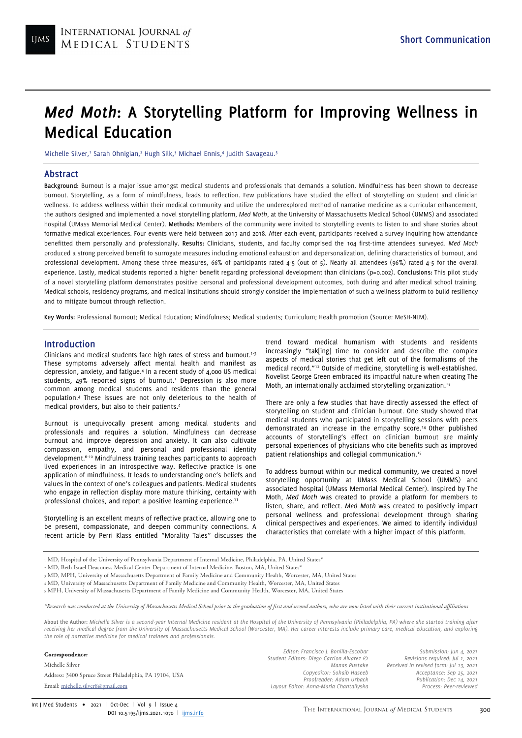# Med Moth: A Storytelling Platform for Improving Wellness in Medical Education

Michelle Silver,<sup>1</sup> Sarah Ohnigian,<sup>2</sup> Hugh Silk,<sup>3</sup> Michael Ennis,4 Judith Savageau.<sup>5</sup>

#### Abstract

Background: Burnout is a major issue amongst medical students and professionals that demands a solution. Mindfulness has been shown to decrease burnout. Storytelling, as a form of mindfulness, leads to reflection. Few publications have studied the effect of storytelling on student and clinician wellness. To address wellness within their medical community and utilize the underexplored method of narrative medicine as a curricular enhancement, the authors designed and implemented a novel storytelling platform, Med Moth, at the University of Massachusetts Medical School (UMMS) and associated hospital (UMass Memorial Medical Center). Methods: Members of the community were invited to storytelling events to listen to and share stories about formative medical experiences. Four events were held between 2017 and 2018. After each event, participants received a survey inquiring how attendance benefitted them personally and professionally. Results: Clinicians, students, and faculty comprised the 104 first-time attendees surveyed. Med Moth produced a strong perceived benefit to surrogate measures including emotional exhaustion and depersonalization, defining characteristics of burnout, and professional development. Among these three measures, 66% of participants rated 4-5 (out of 5). Nearly all attendees (96%) rated 4-5 for the overall experience. Lastly, medical students reported a higher benefit regarding professional development than clinicians (p=0.002). Conclusions: This pilot study of a novel storytelling platform demonstrates positive personal and professional development outcomes, both during and after medical school training. Medical schools, residency programs, and medical institutions should strongly consider the implementation of such a wellness platform to build resiliency and to mitigate burnout through reflection.

Key Words: Professional Burnout; Medical Education; Mindfulness; Medical students; Curriculum; Health promotion (Source: MeSH-NLM).

#### Introduction

Clinicians and medical students face high rates of stress and burnout.<sup>1-3</sup> These symptoms adversely affect mental health and manifest as depression, anxiety, and fatigue.<sup>4</sup> In a recent study of 4,000 US medical students, 49% reported signs of burnout.<sup>1</sup> Depression is also more common among medical students and residents than the general population.<sup>4</sup> These issues are not only deleterious to the health of medical providers, but also to their patients.<sup>4</sup>

Burnout is unequivocally present among medical students and professionals and requires a solution. Mindfulness can decrease burnout and improve depression and anxiety. It can also cultivate compassion, empathy, and personal and professional identity development.6-10 Mindfulness training teaches participants to approach lived experiences in an introspective way. Reflective practice is one application of mindfulness. It leads to understanding one's beliefs and values in the context of one's colleagues and patients. Medical students who engage in reflection display more mature thinking, certainty with professional choices, and report a positive learning experience.<sup>11</sup>

Storytelling is an excellent means of reflective practice, allowing one to be present, compassionate, and deepen community connections. A recent article by Perri Klass entitled "Morality Tales" discusses the trend toward medical humanism with students and residents increasingly "tak[ing] time to consider and describe the complex aspects of medical stories that get left out of the formalisms of the medical record."<sup>12</sup> Outside of medicine, storytelling is well-established. Novelist George Green embraced its impactful nature when creating The Moth, an internationally acclaimed storytelling organization.<sup>13</sup>

There are only a few studies that have directly assessed the effect of storytelling on student and clinician burnout. One study showed that medical students who participated in storytelling sessions with peers demonstrated an increase in the empathy score.<sup>14</sup> Other published accounts of storytelling's effect on clinician burnout are mainly personal experiences of physicians who cite benefits such as improved patient relationships and collegial communication.<sup>15</sup>

To address burnout within our medical community, we created a novel storytelling opportunity at UMass Medical School (UMMS) and associated hospital (UMass Memorial Medical Center). Inspired by The Moth, Med Moth was created to provide a platform for members to listen, share, and reflect. Med Moth was created to positively impact personal wellness and professional development through sharing clinical perspectives and experiences. We aimed to identify individual characteristics that correlate with a higher impact of this platform.

- 1 MD, Hospital of the University of Pennsylvania Department of Internal Medicine, Philadelphia, PA, United States\*
- <sup>2</sup> MD, Beth Israel Deaconess Medical Center Department of Internal Medicine, Boston, MA, United States\*
- <sup>3</sup> MD, MPH, University of Massachusetts Department of Family Medicine and Community Health, Worcester, MA, United States
- <sup>4</sup> MD, University of Massachusetts Department of Family Medicine and Community Health, Worcester, MA, United States
- <sup>5</sup> MPH, University of Massachusetts Department of Family Medicine and Community Health, Worcester, MA, United States

\*Research was conducted at the University of Massachusetts Medical School prior to the graduation of first and second authors, who are now listed with their current institutional affiliations

About the Author: Michelle Silver is a second-year Internal Medicine resident at the Hospital of the University of Pennsylvania (Philadelphia, PA) where she started training after receiving her medical degree from the University of Massachusetts Medical School (Worcester, MA). Her career interests include primary care, medical education, and exploring the role of narrative medicine for medical trainees and professionals.

#### Correspondence:

Michelle Silver Address: 3400 Spruce Street Philadelphia, PA 19104, USA Email: michelle.silver8@gmail.com

Editor: Francisco J. Bonilla-Escobar Student Editors: Diego Carrion Alvarez  $\oslash$ Manas Pustake Copyeditor: Sohaib Haseeb Proofreader: Adam Urback Layout Editor: Anna-Maria Chantaliyska

Submission: Jun 4, 2021 Revisions required: Jul 1, 2021 Received in revised form: Jul 13, 2021 Acceptance: Sep 25, 2021 Publication: Dec 14, 2021 Process: Peer-reviewed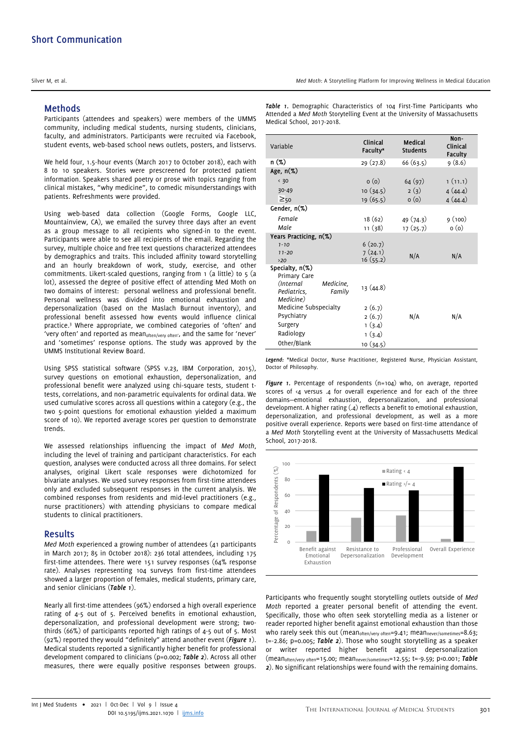#### Methods

Participants (attendees and speakers) were members of the UMMS community, including medical students, nursing students, clinicians, faculty, and administrators. Participants were recruited via Facebook, student events, web-based school news outlets, posters, and listservs.

We held four, 1.5-hour events (March 2017 to October 2018), each with 8 to 10 speakers. Stories were prescreened for protected patient information. Speakers shared poetry or prose with topics ranging from clinical mistakes, "why medicine", to comedic misunderstandings with patients. Refreshments were provided.

Using web-based data collection (Google Forms, Google LLC, Mountainview, CA), we emailed the survey three days after an event as a group message to all recipients who signed-in to the event. Participants were able to see all recipients of the email. Regarding the survey, multiple choice and free text questions characterized attendees by demographics and traits. This included affinity toward storytelling and an hourly breakdown of work, study, exercise, and other commitments. Likert-scaled questions, ranging from  $\frac{1}{1}$  (a little) to  $\frac{1}{5}$  (a lot), assessed the degree of positive effect of attending Med Moth on two domains of interest: personal wellness and professional benefit. Personal wellness was divided into emotional exhaustion and depersonalization (based on the Maslach Burnout inventory), and professional benefit assessed how events would influence clinical practice.<sup>3</sup> Where appropriate, we combined categories of 'often' and 'very often' and reported as mean<sub>often/very often</sub>', and the same for 'never' and 'sometimes' response options. The study was approved by the UMMS Institutional Review Board.

Using SPSS statistical software (SPSS v.23, IBM Corporation, 2015), survey questions on emotional exhaustion, depersonalization, and professional benefit were analyzed using chi-square tests, student ttests, correlations, and non-parametric equivalents for ordinal data. We used cumulative scores across all questions within a category (e.g., the two 5-point questions for emotional exhaustion yielded a maximum score of 10). We reported average scores per question to demonstrate trends.

We assessed relationships influencing the impact of Med Moth, including the level of training and participant characteristics. For each question, analyses were conducted across all three domains. For select analyses, original Likert scale responses were dichotomized for bivariate analyses. We used survey responses from first-time attendees only and excluded subsequent responses in the current analysis. We combined responses from residents and mid-level practitioners (e.g., nurse practitioners) with attending physicians to compare medical students to clinical practitioners.

#### Results

Med Moth experienced a growing number of attendees (41 participants in March 2017; 85 in October 2018): 236 total attendees, including 175 first-time attendees. There were 151 survey responses (64% response rate). Analyses representing 104 surveys from first-time attendees showed a larger proportion of females, medical students, primary care, and senior clinicians (Table 1).

Nearly all first-time attendees (96%) endorsed a high overall experience rating of 4-5 out of 5. Perceived benefits in emotional exhaustion, depersonalization, and professional development were strong; twothirds (66%) of participants reported high ratings of 4-5 out of 5. Most (92%) reported they would "definitely" attend another event (Figure 1). Medical students reported a significantly higher benefit for professional development compared to clinicians (p=0.002; Table 2). Across all other measures, there were equally positive responses between groups.

Table 1. Demographic Characteristics of 104 First-Time Participants who Attended a Med Moth Storytelling Event at the University of Massachusetts Medical School, 2017-2018.

| Variable                                                      | Clinical<br>Faculty* | Medical<br><b>Students</b> | Non-<br>Clinical<br><b>Faculty</b> |
|---------------------------------------------------------------|----------------------|----------------------------|------------------------------------|
| n (%)                                                         | 29(27.8)             | 66(63.5)                   | 9(8.6)                             |
| Age, $n(\%)$                                                  |                      |                            |                                    |
| $\langle 30$                                                  | o(0)                 | 64(97)                     | 1(11.1)                            |
| $30 - 49$                                                     | 10(34.5)             | 2(3)                       | 4(44.4)                            |
| $\geq_{50}$                                                   | 19(65.5)             | o(0)                       | 4(44.4)                            |
| Gender, $n(\%)$                                               |                      |                            |                                    |
| Female                                                        | 18 (62)              | 49(74.3)                   | 9(100)                             |
| Male                                                          | 11 (38)              | 17(25.7)                   | o(0)                               |
| Years Practicing, n(%)                                        |                      |                            |                                    |
| $1 - 10$                                                      | 6(20.7)              |                            |                                    |
| $11 - 20$                                                     | 7(24.1)              | N/A                        | N/A                                |
| >20<br>Specialty, $n(\%)$                                     | 16(55.2)             |                            |                                    |
| Primary Care                                                  |                      |                            |                                    |
| (Internal)<br>Medicine,<br>Pediatrics,<br>Family<br>Medicine) | 13(44.8)             |                            |                                    |
| Medicine Subspecialty                                         | 2(6.7)               |                            |                                    |
| Psychiatry                                                    | 2(6.7)               | N/A                        | N/A                                |
| Surgery                                                       | 1(3.4)               |                            |                                    |
| Radiology                                                     | 1(3.4)               |                            |                                    |
| Other/Blank                                                   | 10(34.5)             |                            |                                    |

Legend: \*Medical Doctor, Nurse Practitioner, Registered Nurse, Physician Assistant, Doctor of Philosophy.

Figure 1. Percentage of respondents (n=104) who, on average, reported scores of <4 versus .4 for overall experience and for each of the three domains—emotional exhaustion, depersonalization, and professional development. A higher rating (.4) reflects a benefit to emotional exhaustion, depersonalization, and professional development, as well as a more positive overall experience. Reports were based on first-time attendance of a Med Moth Storytelling event at the University of Massachusetts Medical School, 2017-2018.



Participants who frequently sought storytelling outlets outside of Med Moth reported a greater personal benefit of attending the event. Specifically, those who often seek storytelling media as a listener or reader reported higher benefit against emotional exhaustion than those who rarely seek this out (mean<sub>often/very often</sub>=9.41; mean<sub>never/sometimes</sub>=8.63;  $t = -2.86$ ;  $p = 0.005$ ; Table 2). Those who sought storytelling as a speaker or writer reported higher benefit against depersonalization (mean<sub>often/very often</sub>=15.00; mean<sub>never/sometimes</sub>=12.55; t=-9.59; p<0.001; Table 2). No significant relationships were found with the remaining domains.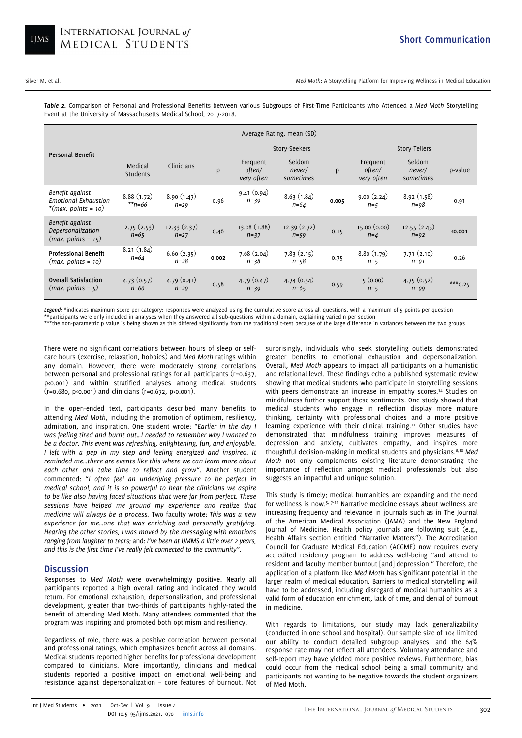Silver M, et al. Storytelling Platform for Improving Wellness in Medical Education

Table 2. Comparison of Personal and Professional Benefits between various Subgroups of First-Time Participants who Attended a Med Moth Storytelling Event at the University of Massachusetts Medical School, 2017-2018.

|                                                                          | Average Rating, mean (SD) |                        |       |                                  |                               |       |                                  |                               |           |
|--------------------------------------------------------------------------|---------------------------|------------------------|-------|----------------------------------|-------------------------------|-------|----------------------------------|-------------------------------|-----------|
| <b>Personal Benefit</b>                                                  |                           |                        |       | Story-Seekers                    |                               |       | Story-Tellers                    |                               |           |
|                                                                          | Medical<br>Students       | Clinicians             | p     | Frequent<br>often/<br>very often | Seldom<br>never/<br>sometimes | p     | Frequent<br>often/<br>very often | Seldom<br>never/<br>sometimes | p-value   |
| Benefit against<br><b>Emotional Exhaustion</b><br>*(max. points = $10$ ) | 8.88(1.72)<br>$*_{n=66}$  | 8.90(1.47)<br>$n = 29$ | 0.96  | 9.41(0.94)<br>$n = 39$           | 8.63(1.84)<br>$n=64$          | 0.005 | 9.00(2.24)<br>$n=5$              | 8.92(1.58)<br>$n = 98$        | 0.91      |
| Benefit against<br>Depersonalization<br>$(max. points = 15)$             | 12.75(2.53)<br>$n = 65$   | 12.33(2.37)<br>$n=27$  | 0.46  | 13.08(1.88)<br>$n = 37$          | 12.39(2.72)<br>$n = 59$       | 0.15  | 15.00(0.00)<br>$n = 4$           | 12.55(2.45)<br>$n=92$         | <0.001    |
| <b>Professional Benefit</b><br>$(max. points = 10)$                      | 8.21(1.84)<br>$n = 64$    | 6.60(2.35)<br>$n = 28$ | 0.002 | 7.68(2.04)<br>$n = 38$           | 7.83(2.15)<br>$n = 58$        | 0.75  | 8.80(1.79)<br>$n=5$              | 7.71(2.10)<br>$n=91$          | 0.26      |
| <b>Overall Satisfaction</b><br>$(max. points = 5)$                       | 4.73(0.57)<br>$n=66$      | 4.79(0.41)<br>$n=29$   | 0.58  | 4.79(0.47)<br>$n = 39$           | 4.74(0.54)<br>$n = 65$        | 0.59  | 5(0.00)<br>$n=5$                 | 4.75(0.52)<br>$n=99$          | $***0.25$ |

Legend: \*indicates maximum score per category: responses were analyzed using the cumulative score across all questions, with a maximum of 5 points per question \*\*participants were only included in analyses when they answered all sub-questions within a domain, explaining varied n per section

\*\*\*the non-parametric p value is being shown as this differed significantly from the traditional t-test because of the large difference in variances between the two groups

There were no significant correlations between hours of sleep or selfcare hours (exercise, relaxation, hobbies) and Med Moth ratings within any domain. However, there were moderately strong correlations between personal and professional ratings for all participants (r=0.637, p<0.001) and within stratified analyses among medical students (r=0.680, p<0.001) and clinicians (r=0.672, p<0.001).

In the open-ended text, participants described many benefits to attending Med Moth, including the promotion of optimism, resiliency, admiration, and inspiration. One student wrote: "Earlier in the day I was feeling tired and burnt out…I needed to remember why I wanted to be a doctor. This event was refreshing, enlightening, fun, and enjoyable. I left with a pep in my step and feeling energized and inspired. It reminded me…there are events like this where we can learn more about each other and take time to reflect and grow". Another student commented: "I often feel an underlying pressure to be perfect in medical school, and it is so powerful to hear the clinicians we aspire to be like also having faced situations that were far from perfect. These sessions have helped me ground my experience and realize that medicine will always be a process. Two faculty wrote: This was a new experience for me…one that was enriching and personally gratifying. Hearing the other stories, I was moved by the messaging with emotions ranging from laughter to tears; and: I've been at UMMS a little over 2 years, and this is the first time I've really felt connected to the community".

#### **Discussion**

Responses to Med Moth were overwhelmingly positive. Nearly all participants reported a high overall rating and indicated they would return. For emotional exhaustion, depersonalization, and professional development, greater than two-thirds of participants highly-rated the benefit of attending Med Moth. Many attendees commented that the program was inspiring and promoted both optimism and resiliency.

Regardless of role, there was a positive correlation between personal and professional ratings, which emphasizes benefit across all domains. Medical students reported higher benefits for professional development compared to clinicians. More importantly, clinicians and medical students reported a positive impact on emotional well-being and resistance against depersonalization – core features of burnout. Not

surprisingly, individuals who seek storytelling outlets demonstrated greater benefits to emotional exhaustion and depersonalization. Overall, Med Moth appears to impact all participants on a humanistic and relational level. These findings echo a published systematic review showing that medical students who participate in storytelling sessions with peers demonstrate an increase in empathy scores.<sup>14</sup> Studies on mindfulness further support these sentiments. One study showed that medical students who engage in reflection display more mature thinking, certainty with professional choices and a more positive learning experience with their clinical training.<sup>11</sup> Other studies have demonstrated that mindfulness training improves measures of depression and anxiety, cultivates empathy, and inspires more thoughtful decision-making in medical students and physicians.8,10 Med Moth not only complements existing literature demonstrating the importance of reflection amongst medical professionals but also suggests an impactful and unique solution.

This study is timely; medical humanities are expanding and the need for wellness is now.5, 7-11 Narrative medicine essays about wellness are increasing frequency and relevance in journals such as in The Journal of the American Medical Association (JAMA) and the New England Journal of Medicine. Health policy journals are following suit (e.g., Health Affairs section entitled "Narrative Matters"). The Accreditation Council for Graduate Medical Education (ACGME) now requires every accredited residency program to address well-being "and attend to resident and faculty member burnout [and] depression." Therefore, the application of a platform like Med Moth has significant potential in the larger realm of medical education. Barriers to medical storytelling will have to be addressed, including disregard of medical humanities as a valid form of education enrichment, lack of time, and denial of burnout in medicine.

With regards to limitations, our study may lack generalizability (conducted in one school and hospital). Our sample size of 104 limited our ability to conduct detailed subgroup analyses, and the 64% response rate may not reflect all attendees. Voluntary attendance and self-report may have yielded more positive reviews. Furthermore, bias could occur from the medical school being a small community and participants not wanting to be negative towards the student organizers of Med Moth.